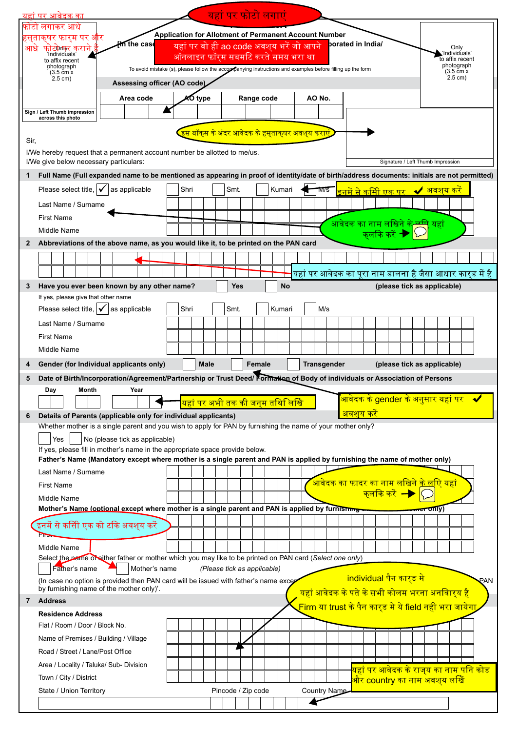|              | यहां पर आवेदक का                                                                                                                             |                                                                                                           |         |      | यहां पर फोटो लगाएं                                                                                               |            |           |        |                                                                     |                                  |  |                                            |                        |     |                                        |                                                   |     |
|--------------|----------------------------------------------------------------------------------------------------------------------------------------------|-----------------------------------------------------------------------------------------------------------|---------|------|------------------------------------------------------------------------------------------------------------------|------------|-----------|--------|---------------------------------------------------------------------|----------------------------------|--|--------------------------------------------|------------------------|-----|----------------------------------------|---------------------------------------------------|-----|
|              | फाटा लगाकर आधे                                                                                                                               |                                                                                                           |         |      |                                                                                                                  |            |           |        |                                                                     |                                  |  |                                            |                        |     |                                        |                                                   |     |
|              | हस्ताक्षर फार्म पर और                                                                                                                        | ff∩ the case                                                                                              |         |      | <b>Application for Allotment of Permanent Account Number</b><br>यहां पर वो ही ao code अवश् <b>य भरें जो आपने</b> |            |           |        | borated in India/                                                   |                                  |  |                                            |                        |     |                                        |                                                   |     |
| आध           | फाट्फेक्सर कराने<br>'Individuals'<br>to affix recent                                                                                         |                                                                                                           |         |      | ऑनलाइन फॉरम सबमटि करते समय भरा था                                                                                |            |           |        |                                                                     |                                  |  |                                            |                        |     | Only<br>'Individuals'                  | to affix recent                                   |     |
|              | photograph<br>$(3.5 \text{ cm} x)$                                                                                                           | To avoid mistake (s), please follow the accompanying instructions and examples before filling up the form |         |      |                                                                                                                  |            |           |        |                                                                     |                                  |  |                                            |                        |     | photograph<br>$(3.5 \text{ cm} \times$ |                                                   |     |
|              | 2.5 cm)                                                                                                                                      | Assessing officer (AO code)                                                                               |         |      |                                                                                                                  |            |           |        |                                                                     |                                  |  |                                            |                        |     | 2.5 cm)                                |                                                   |     |
|              |                                                                                                                                              | Area code                                                                                                 | AO type |      |                                                                                                                  | Range code |           | AO No. |                                                                     |                                  |  |                                            |                        |     |                                        |                                                   |     |
|              | Sign / Left Thumb impression                                                                                                                 |                                                                                                           |         |      |                                                                                                                  |            |           |        |                                                                     |                                  |  |                                            |                        |     |                                        |                                                   |     |
|              | across this photo                                                                                                                            |                                                                                                           |         |      |                                                                                                                  |            |           |        |                                                                     |                                  |  |                                            |                        |     |                                        |                                                   |     |
| Sir,         |                                                                                                                                              |                                                                                                           |         |      | <u>. बॉक्स के अंदर आवेदक के हसुताक्षर अवश्<b>य</b> करा</u>                                                       |            |           |        |                                                                     |                                  |  |                                            |                        |     |                                        |                                                   |     |
|              | I/We hereby request that a permanent account number be allotted to me/us.                                                                    |                                                                                                           |         |      |                                                                                                                  |            |           |        |                                                                     |                                  |  |                                            |                        |     |                                        |                                                   |     |
|              | I/We give below necessary particulars:                                                                                                       |                                                                                                           |         |      |                                                                                                                  |            |           |        |                                                                     |                                  |  | Signature / Left Thumb Impression          |                        |     |                                        |                                                   |     |
| 1            | Full Name (Full expanded name to be mentioned as appearing in proof of identity/date of birth/address documents: initials are not permitted) |                                                                                                           |         |      |                                                                                                                  |            |           |        |                                                                     |                                  |  |                                            |                        |     |                                        |                                                   |     |
|              | Please select title, $\mathbf{\nabla}$                                                                                                       | as applicable                                                                                             | Shri    |      | Smt.                                                                                                             |            | Kumari    | TVI/S  |                                                                     | <mark>इनमें से कसीि एक पर</mark> |  |                                            |                        |     | ✔ अवशय कर                              |                                                   |     |
|              | Last Name / Surname                                                                                                                          |                                                                                                           |         |      |                                                                                                                  |            |           |        |                                                                     |                                  |  |                                            |                        |     |                                        |                                                   |     |
|              | <b>First Name</b>                                                                                                                            |                                                                                                           |         |      |                                                                                                                  |            |           |        |                                                                     |                                  |  |                                            |                        |     |                                        |                                                   |     |
|              | Middle Name                                                                                                                                  |                                                                                                           |         |      |                                                                                                                  |            |           |        | आवेदक का नाम लोखेने                                                 |                                  |  |                                            |                        | यहा |                                        |                                                   |     |
| $\mathbf{2}$ | Abbreviations of the above name, as you would like it, to be printed on the PAN card                                                         |                                                                                                           |         |      |                                                                                                                  |            |           |        |                                                                     |                                  |  |                                            |                        |     |                                        |                                                   |     |
|              |                                                                                                                                              |                                                                                                           |         |      |                                                                                                                  |            |           |        |                                                                     |                                  |  |                                            |                        |     |                                        |                                                   |     |
|              |                                                                                                                                              |                                                                                                           |         |      |                                                                                                                  |            |           |        | यहां पर आवेदक का पूरा नाम डालना है जैसा आधार कार्ड में है           |                                  |  |                                            |                        |     |                                        |                                                   |     |
| 3            | Have you ever been known by any other name?                                                                                                  |                                                                                                           |         |      | <b>Yes</b>                                                                                                       |            | <b>No</b> |        |                                                                     |                                  |  | (please tick as applicable)                |                        |     |                                        |                                                   |     |
|              | If yes, please give that other name                                                                                                          |                                                                                                           |         |      |                                                                                                                  |            |           |        |                                                                     |                                  |  |                                            |                        |     |                                        |                                                   |     |
|              | Please select title, $\mathbf{\sqrt{}}$                                                                                                      | as applicable                                                                                             | Shri    |      | Smt.                                                                                                             |            | Kumari    | M/s    |                                                                     |                                  |  |                                            |                        |     |                                        |                                                   |     |
|              | Last Name / Surname                                                                                                                          |                                                                                                           |         |      |                                                                                                                  |            |           |        |                                                                     |                                  |  |                                            |                        |     |                                        |                                                   |     |
|              | <b>First Name</b>                                                                                                                            |                                                                                                           |         |      |                                                                                                                  |            |           |        |                                                                     |                                  |  |                                            |                        |     |                                        |                                                   |     |
|              | Middle Name                                                                                                                                  |                                                                                                           |         |      |                                                                                                                  |            |           |        |                                                                     |                                  |  |                                            |                        |     |                                        |                                                   |     |
| 4            | Gender (for Individual applicants only)                                                                                                      |                                                                                                           |         |      |                                                                                                                  |            |           |        |                                                                     |                                  |  |                                            |                        |     |                                        |                                                   |     |
|              |                                                                                                                                              |                                                                                                           |         | Male |                                                                                                                  | Female     |           |        | <b>Transgender</b>                                                  |                                  |  | (please tick as applicable)                |                        |     |                                        |                                                   |     |
| 5            | Date of Birth/Incorporation/Agreement/Partnership or Trust Deed/Formation of Body of individuals or Association of Persons                   |                                                                                                           |         |      |                                                                                                                  |            |           |        |                                                                     |                                  |  |                                            |                        |     |                                        |                                                   |     |
|              | Month<br>Day                                                                                                                                 | Year                                                                                                      |         |      |                                                                                                                  |            |           |        |                                                                     |                                  |  |                                            |                        |     |                                        |                                                   |     |
|              |                                                                                                                                              |                                                                                                           |         |      | यहां पर अभी तक की जन् <b>म तथि</b> लिखि                                                                          |            |           |        |                                                                     |                                  |  |                                            |                        |     |                                        | <mark>आवंदक के gender के अनुसार यहा पर   ✔</mark> |     |
| 6            | Details of Parents (applicable only for individual applicants)                                                                               |                                                                                                           |         |      |                                                                                                                  |            |           |        |                                                                     | <mark>अवशय करें</mark>           |  |                                            |                        |     |                                        |                                                   |     |
|              | Whether mother is a single parent and you wish to apply for PAN by furnishing the name of your mother only?<br>Yes                           | No (please tick as applicable)                                                                            |         |      |                                                                                                                  |            |           |        |                                                                     |                                  |  |                                            |                        |     |                                        |                                                   |     |
|              | If yes, please fill in mother's name in the appropriate space provide below.                                                                 |                                                                                                           |         |      |                                                                                                                  |            |           |        |                                                                     |                                  |  |                                            |                        |     |                                        |                                                   |     |
|              | Father's Name (Mandatory except where mother is a single parent and PAN is applied by furnishing the name of mother only)                    |                                                                                                           |         |      |                                                                                                                  |            |           |        |                                                                     |                                  |  |                                            |                        |     |                                        |                                                   |     |
|              | Last Name / Surname                                                                                                                          |                                                                                                           |         |      |                                                                                                                  |            |           |        |                                                                     |                                  |  |                                            |                        |     |                                        |                                                   |     |
|              | <b>First Name</b>                                                                                                                            |                                                                                                           |         |      |                                                                                                                  |            |           |        | <u>आवेदक का फादर का नाम लखिने के लोऐ यहां</u>                       |                                  |  | <u> कलोके करें  –</u>                      |                        |     |                                        |                                                   |     |
|              | Middle Name                                                                                                                                  |                                                                                                           |         |      |                                                                                                                  |            |           |        |                                                                     |                                  |  |                                            |                        |     |                                        |                                                   |     |
|              | Mother's Name (optional except where mother is a single parent and PAN is applied by furnishing                                              |                                                                                                           |         |      |                                                                                                                  |            |           |        |                                                                     |                                  |  |                                            | <del>ନାରା</del> Ofily) |     |                                        |                                                   |     |
|              | .<br>इनमें से कसीि एक को टकि अवश् <b>य</b> करें<br>h.                                                                                        |                                                                                                           |         |      |                                                                                                                  |            |           |        |                                                                     |                                  |  |                                            |                        |     |                                        |                                                   |     |
|              | Middle Name                                                                                                                                  |                                                                                                           |         |      |                                                                                                                  |            |           |        |                                                                     |                                  |  |                                            |                        |     |                                        |                                                   |     |
|              | Select the name of either father or mother which you may like to be printed on PAN card (Select one only)                                    |                                                                                                           |         |      |                                                                                                                  |            |           |        |                                                                     |                                  |  |                                            |                        |     |                                        |                                                   |     |
|              | Father's name                                                                                                                                | Mother's name                                                                                             |         |      | (Please tick as applicable)                                                                                      |            |           |        |                                                                     |                                  |  |                                            |                        |     |                                        |                                                   |     |
|              | (In case no option is provided then PAN card will be issued with father's name excer<br>by furnishing name of the mother only)'.             |                                                                                                           |         |      |                                                                                                                  |            |           |        |                                                                     | individual पैन कार्ड मे          |  |                                            |                        |     |                                        |                                                   | PAN |
|              | 7 Address                                                                                                                                    |                                                                                                           |         |      |                                                                                                                  |            |           |        | <mark>यहां आवेदक के पते के सभी कोलम भरना अनवािर्य है</mark>         |                                  |  |                                            |                        |     |                                        |                                                   |     |
|              | <b>Residence Address</b>                                                                                                                     |                                                                                                           |         |      |                                                                                                                  |            |           |        | <mark>Firm या trust के पैन कार्ड मे ये field नही भरा जायेगा,</mark> |                                  |  |                                            |                        |     |                                        |                                                   |     |
|              | Flat / Room / Door / Block No.                                                                                                               |                                                                                                           |         |      |                                                                                                                  |            |           |        |                                                                     |                                  |  |                                            |                        |     |                                        |                                                   |     |
|              | Name of Premises / Building / Village                                                                                                        |                                                                                                           |         |      |                                                                                                                  |            |           |        |                                                                     |                                  |  |                                            |                        |     |                                        |                                                   |     |
|              | Road / Street / Lane/Post Office                                                                                                             |                                                                                                           |         |      |                                                                                                                  |            |           |        |                                                                     |                                  |  |                                            |                        |     |                                        |                                                   |     |
|              | Area / Locality / Taluka/ Sub- Division                                                                                                      |                                                                                                           |         |      |                                                                                                                  |            |           |        |                                                                     |                                  |  |                                            |                        |     |                                        | यहां पर आवेदक के राज् <b>य का नाम पनि कोड</b>     |     |
|              | Town / City / District                                                                                                                       |                                                                                                           |         |      |                                                                                                                  |            |           |        |                                                                     |                                  |  | <mark>और country का नाम अवश्</mark> य लखिं |                        |     |                                        |                                                   |     |
|              | State / Union Territory                                                                                                                      |                                                                                                           |         |      | Pincode / Zip code                                                                                               |            |           |        | Country Name                                                        |                                  |  |                                            |                        |     |                                        |                                                   |     |